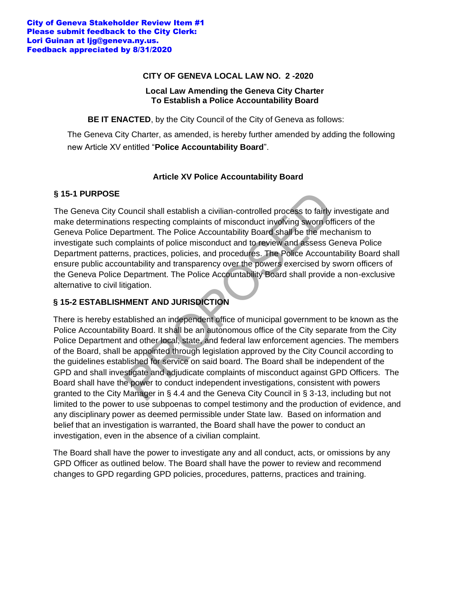## **CITY OF GENEVA LOCAL LAW NO. 2 -2020**

### **Local Law Amending the Geneva City Charter To Establish a Police Accountability Board**

**BE IT ENACTED**, by the City Council of the City of Geneva as follows:

The Geneva City Charter, as amended, is hereby further amended by adding the following new Article XV entitled "**Police Accountability Board**".

## **Article XV Police Accountability Board**

# **§ 15-1 PURPOSE**

The Geneva City Council shall establish a civilian-controlled process to fairly investigate and make determinations respecting complaints of misconduct involving sworn officers of the Geneva Police Department. The Police Accountability Board shall be the mechanism to investigate such complaints of police misconduct and to review and assess Geneva Police Department patterns, practices, policies, and procedures. The Police Accountability Board shall ensure public accountability and transparency over the powers exercised by sworn officers of the Geneva Police Department. The Police Accountability Board shall provide a non-exclusive alternative to civil litigation.

# **§ 15-2 ESTABLISHMENT AND JURISDICTION**

There is hereby established an independent office of municipal government to be known as the Police Accountability Board. It shall be an autonomous office of the City separate from the City Police Department and other local, state, and federal law enforcement agencies. The members of the Board, shall be appointed through legislation approved by the City Council according to the guidelines established for service on said board. The Board shall be independent of the GPD and shall investigate and adjudicate complaints of misconduct against GPD Officers. The Board shall have the power to conduct independent investigations, consistent with powers granted to the City Manager in § 4.4 and the Geneva City Council in § 3-13, including but not limited to the power to use subpoenas to compel testimony and the production of evidence, and any disciplinary power as deemed permissible under State law. Based on information and belief that an investigation is warranted, the Board shall have the power to conduct an investigation, even in the absence of a civilian complaint. iouncil shall establish a civilian-controlled process to fairly<br>ns respecting complaints of misconduct involving sworn off<br>nattment. The Police Accountability Board shall be the mec<br>mynlaints of police misconduct and to re

The Board shall have the power to investigate any and all conduct, acts, or omissions by any GPD Officer as outlined below. The Board shall have the power to review and recommend changes to GPD regarding GPD policies, procedures, patterns, practices and training.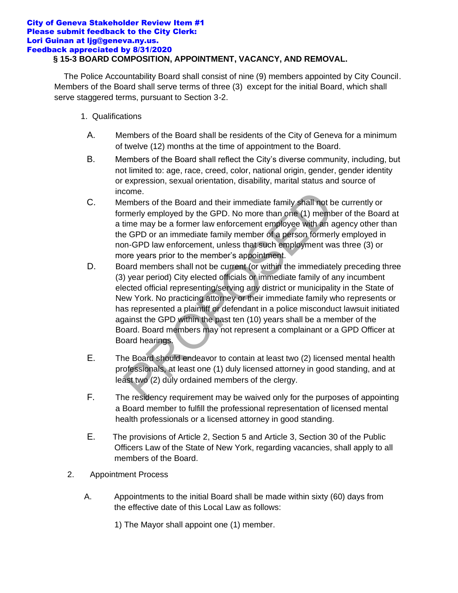# **§ 15-3 BOARD COMPOSITION, APPOINTMENT, VACANCY, AND REMOVAL.**

The Police Accountability Board shall consist of nine (9) members appointed by City Council. Members of the Board shall serve terms of three (3) except for the initial Board, which shall serve staggered terms, pursuant to Section 3-2.

- 1. Qualifications
	- A. Members of the Board shall be residents of the City of Geneva for a minimum of twelve (12) months at the time of appointment to the Board.
	- B. Members of the Board shall reflect the City's diverse community, including, but not limited to: age, race, creed, color, national origin, gender, gender identity or expression, sexual orientation, disability, marital status and source of income.
	- C. Members of the Board and their immediate family shall not be currently or formerly employed by the GPD. No more than one (1) member of the Board at a time may be a former law enforcement employee with an agency other than the GPD or an immediate family member of a person formerly employed in non-GPD law enforcement, unless that such employment was three (3) or more years prior to the member's appointment.
	- D. Board members shall not be current (or within the immediately preceding three (3) year period) City elected officials or immediate family of any incumbent elected official representing/serving any district or municipality in the State of New York. No practicing attorney or their immediate family who represents or has represented a plaintiff or defendant in a police misconduct lawsuit initiated against the GPD within the past ten (10) years shall be a member of the Board. Board members may not represent a complainant or a GPD Officer at Board hearings. come.<br>
	embers of the Board and their immediate family shall not b<br>
	embers of the Board and their immediate family shall not b<br>
	time may be a former law enforcement employee with an a<br>
	GPD or an immediate family member of a
	- E. The Board should endeavor to contain at least two (2) licensed mental health professionals, at least one (1) duly licensed attorney in good standing, and at least two (2) duly ordained members of the clergy.
	- F. The residency requirement may be waived only for the purposes of appointing a Board member to fulfill the professional representation of licensed mental health professionals or a licensed attorney in good standing.
	- E. The provisions of Article 2, Section 5 and Article 3, Section 30 of the Public Officers Law of the State of New York, regarding vacancies, shall apply to all members of the Board.
- 2. Appointment Process
	- A. Appointments to the initial Board shall be made within sixty (60) days from the effective date of this Local Law as follows:
		- 1) The Mayor shall appoint one (1) member.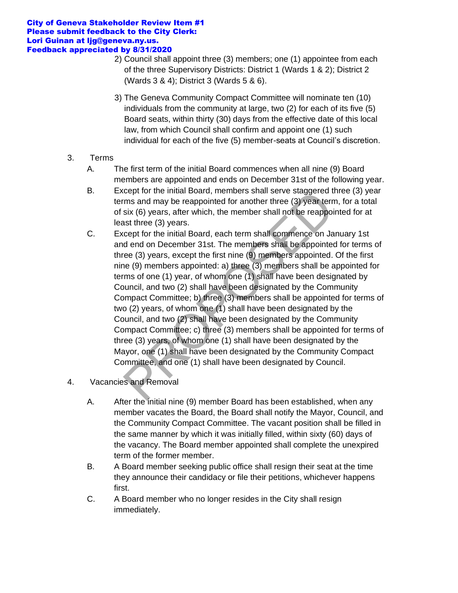- 2) Council shall appoint three (3) members; one (1) appointee from each of the three Supervisory Districts: District 1 (Wards 1 & 2); District 2 (Wards 3 & 4); District 3 (Wards 5 & 6).
- 3) The Geneva Community Compact Committee will nominate ten (10) individuals from the community at large, two (2) for each of its five (5) Board seats, within thirty (30) days from the effective date of this local law, from which Council shall confirm and appoint one (1) such individual for each of the five (5) member-seats at Council's discretion.
- 3. Terms
	- A. The first term of the initial Board commences when all nine (9) Board members are appointed and ends on December 31st of the following year.
	- B. Except for the initial Board, members shall serve staggered three (3) year terms and may be reappointed for another three (3) year term, for a total of six (6) years, after which, the member shall not be reappointed for at least three (3) years.
	- C. Except for the initial Board, each term shall commence on January 1st and end on December 31st. The members shall be appointed for terms of three (3) years, except the first nine (9) members appointed. Of the first nine (9) members appointed: a) three (3) members shall be appointed for terms of one (1) year, of whom one (1) shall have been designated by Council, and two (2) shall have been designated by the Community Compact Committee; b) three (3) members shall be appointed for terms of two (2) years, of whom one (1) shall have been designated by the Council, and two (2) shall have been designated by the Community Compact Committee; c) three (3) members shall be appointed for terms of three (3) years, of whom one (1) shall have been designated by the Mayor, one (1) shall have been designated by the Community Compact Committee, and one (1) shall have been designated by Council. cept for the initial Board, members shall serve staggered t<br>ms and may be reappointed for another three (3) year terr<br>six (6) years, after which, the member shall not be reappoint<br>ast three (3) years.<br>cept for the initial
- 4. Vacancies and Removal
	- A. After the initial nine (9) member Board has been established, when any member vacates the Board, the Board shall notify the Mayor, Council, and the Community Compact Committee. The vacant position shall be filled in the same manner by which it was initially filled, within sixty (60) days of the vacancy. The Board member appointed shall complete the unexpired term of the former member.
	- B. A Board member seeking public office shall resign their seat at the time they announce their candidacy or file their petitions, whichever happens first.
	- C. A Board member who no longer resides in the City shall resign immediately.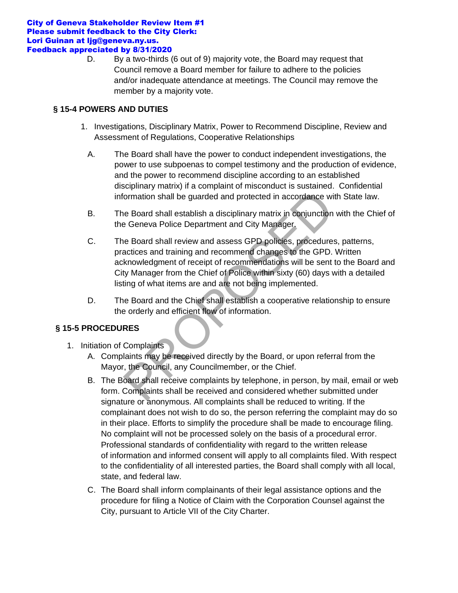> D. By a two-thirds (6 out of 9) majority vote, the Board may request that Council remove a Board member for failure to adhere to the policies and/or inadequate attendance at meetings. The Council may remove the member by a majority vote.

## **§ 15-4 POWERS AND DUTIES**

- 1. Investigations, Disciplinary Matrix, Power to Recommend Discipline, Review and Assessment of Regulations, Cooperative Relationships
	- A. The Board shall have the power to conduct independent investigations, the power to use subpoenas to compel testimony and the production of evidence, and the power to recommend discipline according to an established disciplinary matrix) if a complaint of misconduct is sustained. Confidential information shall be guarded and protected in accordance with State law.
	- B. The Board shall establish a disciplinary matrix in conjunction with the Chief of the Geneva Police Department and City Manager.
	- C. The Board shall review and assess GPD policies, procedures, patterns, practices and training and recommend changes to the GPD. Written acknowledgment of receipt of recommendations will be sent to the Board and City Manager from the Chief of Police within sixty (60) days with a detailed listing of what items are and are not being implemented. ormation shall be guarded and protected in accordance wi<br>
	e Board shall establish a disciplinary matrix in conjunction<br>
	e Geneva Police Department and City Manager.<br>
	e Board shall review and assess GPD policies, procedure<br>
	- D. The Board and the Chief shall establish a cooperative relationship to ensure the orderly and efficient flow of information.

### **§ 15-5 PROCEDURES**

- 1. Initiation of Complaints
	- A. Complaints may be received directly by the Board, or upon referral from the Mayor, the Council, any Councilmember, or the Chief.
	- B. The Board shall receive complaints by telephone, in person, by mail, email or web form. Complaints shall be received and considered whether submitted under signature or anonymous. All complaints shall be reduced to writing. If the complainant does not wish to do so, the person referring the complaint may do so in their place. Efforts to simplify the procedure shall be made to encourage filing. No complaint will not be processed solely on the basis of a procedural error. Professional standards of confidentiality with regard to the written release of information and informed consent will apply to all complaints filed. With respect to the confidentiality of all interested parties, the Board shall comply with all local, state, and federal law.
	- C. The Board shall inform complainants of their legal assistance options and the procedure for filing a Notice of Claim with the Corporation Counsel against the City, pursuant to Article VII of the City Charter.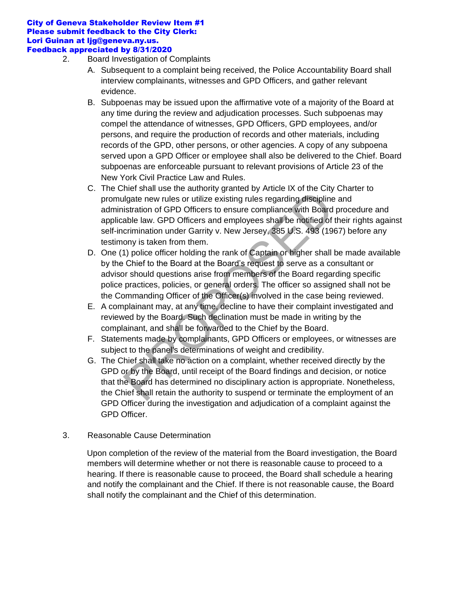- 2. Board Investigation of Complaints
	- A. Subsequent to a complaint being received, the Police Accountability Board shall interview complainants, witnesses and GPD Officers, and gather relevant evidence.
	- B. Subpoenas may be issued upon the affirmative vote of a majority of the Board at any time during the review and adjudication processes. Such subpoenas may compel the attendance of witnesses, GPD Officers, GPD employees, and/or persons, and require the production of records and other materials, including records of the GPD, other persons, or other agencies. A copy of any subpoena served upon a GPD Officer or employee shall also be delivered to the Chief. Board subpoenas are enforceable pursuant to relevant provisions of Article 23 of the New York Civil Practice Law and Rules.
	- C. The Chief shall use the authority granted by Article IX of the City Charter to promulgate new rules or utilize existing rules regarding discipline and administration of GPD Officers to ensure compliance with Board procedure and applicable law. GPD Officers and employees shall be notified of their rights against self-incrimination under Garrity v. New Jersey, 385 U.S. 493 (1967) before any testimony is taken from them. From Such and the authority granted by Yunco by the City<br>ilgate new rules or utilize existing rules regarding discipline<br>istration of GPD Officers to ensure compliance with Board<br>able law. GPD Officers to ensure compliance
	- D. One (1) police officer holding the rank of Captain or higher shall be made available by the Chief to the Board at the Board's request to serve as a consultant or advisor should questions arise from members of the Board regarding specific police practices, policies, or general orders. The officer so assigned shall not be the Commanding Officer of the Officer(s) involved in the case being reviewed.
	- E. A complainant may, at any time, decline to have their complaint investigated and reviewed by the Board. Such declination must be made in writing by the complainant, and shall be forwarded to the Chief by the Board.
	- F. Statements made by complainants, GPD Officers or employees, or witnesses are subject to the panel's determinations of weight and credibility.
	- G. The Chief shall take no action on a complaint, whether received directly by the GPD or by the Board, until receipt of the Board findings and decision, or notice that the Board has determined no disciplinary action is appropriate. Nonetheless, the Chief shall retain the authority to suspend or terminate the employment of an GPD Officer during the investigation and adjudication of a complaint against the GPD Officer.

### 3. Reasonable Cause Determination

Upon completion of the review of the material from the Board investigation, the Board members will determine whether or not there is reasonable cause to proceed to a hearing. If there is reasonable cause to proceed, the Board shall schedule a hearing and notify the complainant and the Chief. If there is not reasonable cause, the Board shall notify the complainant and the Chief of this determination.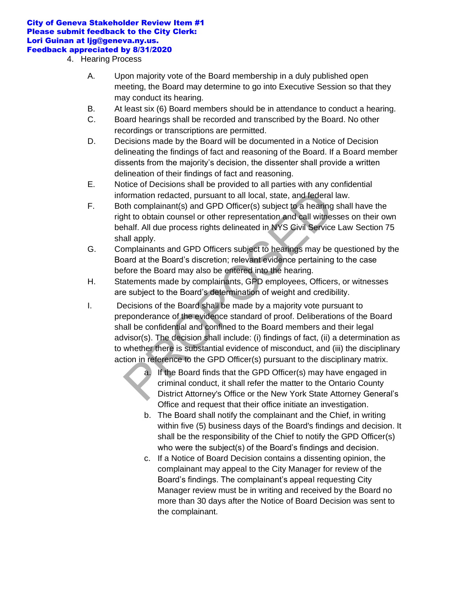- 4. Hearing Process
	- A. Upon majority vote of the Board membership in a duly published open meeting, the Board may determine to go into Executive Session so that they may conduct its hearing.
	- B. At least six (6) Board members should be in attendance to conduct a hearing.
	- C. Board hearings shall be recorded and transcribed by the Board. No other recordings or transcriptions are permitted.
	- D. Decisions made by the Board will be documented in a Notice of Decision delineating the findings of fact and reasoning of the Board. If a Board member dissents from the majority's decision, the dissenter shall provide a written delineation of their findings of fact and reasoning.
	- E. Notice of Decisions shall be provided to all parties with any confidential information redacted, pursuant to all local, state, and federal law.
	- F. Both complainant(s) and GPD Officer(s) subject to a hearing shall have the right to obtain counsel or other representation and call witnesses on their own behalf. All due process rights delineated in NYS Civil Service Law Section 75 shall apply.
	- G. Complainants and GPD Officers subject to hearings may be questioned by the Board at the Board's discretion; relevant evidence pertaining to the case before the Board may also be entered into the hearing.
	- H. Statements made by complainants, GPD employees, Officers, or witnesses are subject to the Board's determination of weight and credibility.
	- I. Decisions of the Board shall be made by a majority vote pursuant to preponderance of the evidence standard of proof. Deliberations of the Board shall be confidential and confined to the Board members and their legal advisor(s). The decision shall include: (i) findings of fact, (ii) a determination as to whether there is substantial evidence of misconduct, and (iii) the disciplinary action in reference to the GPD Officer(s) pursuant to the disciplinary matrix. formation redacted, pursuant to all local, state, and federal<br>th complainant(s) and GPD Officer(s) subject to a hearing<br>th to obtain counsel or other representation and call witnes<br>half. All due process rights delineated i
		- a. If the Board finds that the GPD Officer(s) may have engaged in criminal conduct, it shall refer the matter to the Ontario County District Attorney's Office or the New York State Attorney General's Office and request that their office initiate an investigation.
		- b. The Board shall notify the complainant and the Chief, in writing within five (5) business days of the Board's findings and decision. It shall be the responsibility of the Chief to notify the GPD Officer(s) who were the subject(s) of the Board's findings and decision.
		- c. If a Notice of Board Decision contains a dissenting opinion, the complainant may appeal to the City Manager for review of the Board's findings. The complainant's appeal requesting City Manager review must be in writing and received by the Board no more than 30 days after the Notice of Board Decision was sent to the complainant.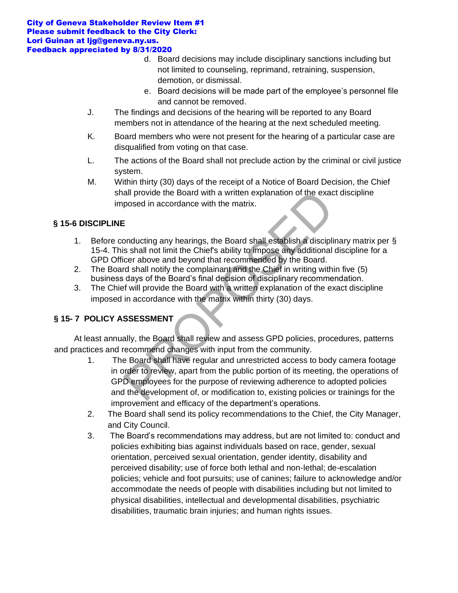- d. Board decisions may include disciplinary sanctions including but not limited to counseling, reprimand, retraining, suspension, demotion, or dismissal.
- e. Board decisions will be made part of the employee's personnel file and cannot be removed.
- J. The findings and decisions of the hearing will be reported to any Board members not in attendance of the hearing at the next scheduled meeting.
- K. Board members who were not present for the hearing of a particular case are disqualified from voting on that case.
- L. The actions of the Board shall not preclude action by the criminal or civil justice system.
- M. Within thirty (30) days of the receipt of a Notice of Board Decision, the Chief shall provide the Board with a written explanation of the exact discipline imposed in accordance with the matrix.

# **§ 15-6 DISCIPLINE**

- 1. Before conducting any hearings, the Board shall establish a disciplinary matrix per § 15-4. This shall not limit the Chief's ability to impose any additional discipline for a GPD Officer above and beyond that recommended by the Board.
- 2. The Board shall notify the complainant and the Chief in writing within five (5) business days of the Board's final decision of disciplinary recommendation.
- 3. The Chief will provide the Board with a written explanation of the exact discipline imposed in accordance with the matrix within thirty (30) days.

# **§ 15- 7 POLICY ASSESSMENT**

At least annually, the Board shall review and assess GPD policies, procedures, patterns and practices and recommend changes with input from the community.

- 1. The Board shall have regular and unrestricted access to body camera footage in order to review, apart from the public portion of its meeting, the operations of GPD employees for the purpose of reviewing adherence to adopted policies and the development of, or modification to, existing policies or trainings for the improvement and efficacy of the department's operations. all provide the Board with a written explanation of the exac<br>posed in accordance with the matrix.<br>
E<br>
E<br>
Domolucting any hearings, the Board shall establish a discipli<br>
is shall not limit the Chief's ability to impose any
- 2. The Board shall send its policy recommendations to the Chief, the City Manager, and City Council.
- 3. The Board's recommendations may address, but are not limited to: conduct and policies exhibiting bias against individuals based on race, gender, sexual orientation, perceived sexual orientation, gender identity, disability and perceived disability; use of force both lethal and non-lethal; de-escalation policies; vehicle and foot pursuits; use of canines; failure to acknowledge and/or accommodate the needs of people with disabilities including but not limited to physical disabilities, intellectual and developmental disabilities, psychiatric disabilities, traumatic brain injuries; and human rights issues.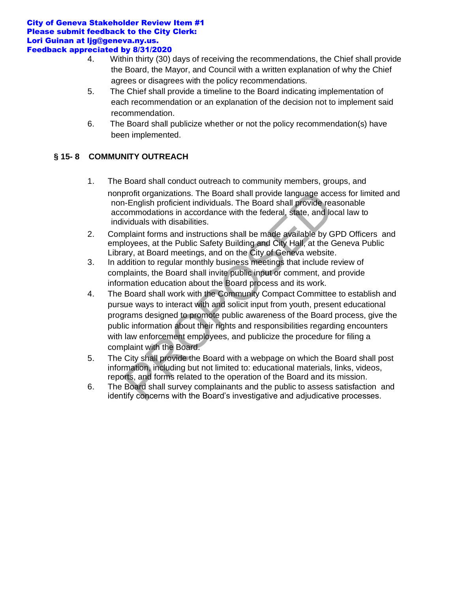- 4. Within thirty (30) days of receiving the recommendations, the Chief shall provide the Board, the Mayor, and Council with a written explanation of why the Chief agrees or disagrees with the policy recommendations.
- 5. The Chief shall provide a timeline to the Board indicating implementation of each recommendation or an explanation of the decision not to implement said recommendation.
- 6. The Board shall publicize whether or not the policy recommendation(s) have been implemented.

# **§ 15- 8 COMMUNITY OUTREACH**

- 1. The Board shall conduct outreach to community members, groups, and nonprofit organizations. The Board shall provide language access for limited and non-English proficient individuals. The Board shall provide reasonable accommodations in accordance with the federal, state, and local law to individuals with disabilities.
- 2. Complaint forms and instructions shall be made available by GPD Officers and employees, at the Public Safety Building and City Hall, at the Geneva Public Library, at Board meetings, and on the City of Geneva website.
- 3. In addition to regular monthly business meetings that include review of complaints, the Board shall invite public input or comment, and provide information education about the Board process and its work.
- 4. The Board shall work with the Community Compact Committee to establish and pursue ways to interact with and solicit input from youth, present educational programs designed to promote public awareness of the Board process, give the public information about their rights and responsibilities regarding encounters with law enforcement employees, and publicize the procedure for filing a complaint with the Board. profit organizations. The Board shall provide language accomplest to the Soard shall provide reason modations in accordance with the federal, state, and lo viduals with disabilities.<br>
Dividuals with disabilities.<br>
plaint f
- 5. The City shall provide the Board with a webpage on which the Board shall post information, including but not limited to: educational materials, links, videos, reports, and forms related to the operation of the Board and its mission.
- 6. The Board shall survey complainants and the public to assess satisfaction and identify concerns with the Board's investigative and adjudicative processes.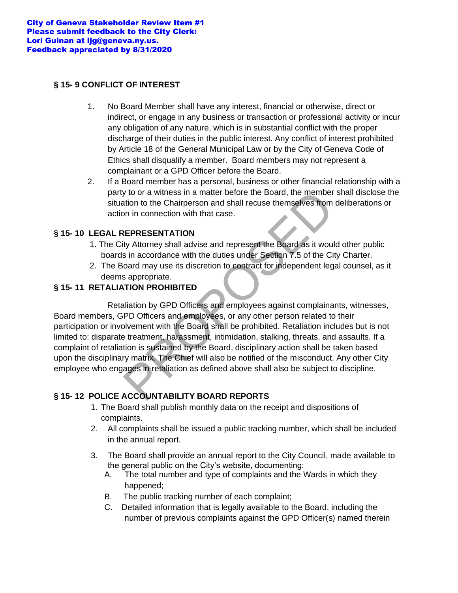## **§ 15- 9 CONFLICT OF INTEREST**

- 1. No Board Member shall have any interest, financial or otherwise, direct or indirect, or engage in any business or transaction or professional activity or incur any obligation of any nature, which is in substantial conflict with the proper discharge of their duties in the public interest. Any conflict of interest prohibited by Article 18 of the General Municipal Law or by the City of Geneva Code of Ethics shall disqualify a member. Board members may not represent a complainant or a GPD Officer before the Board.
- 2. If a Board member has a personal, business or other financial relationship with a party to or a witness in a matter before the Board, the member shall disclose the situation to the Chairperson and shall recuse themselves from deliberations or action in connection with that case.

# **§ 15- 10 LEGAL REPRESENTATION**

- 1. The City Attorney shall advise and represent the Board as it would other public boards in accordance with the duties under Section 7.5 of the City Charter.
- 2. The Board may use its discretion to contract for independent legal counsel, as it deems appropriate.

# **§ 15- 11 RETALIATION PROHIBITED**

Retaliation by GPD Officers and employees against complainants, witnesses, Board members, GPD Officers and employees, or any other person related to their participation or involvement with the Board shall be prohibited. Retaliation includes but is not limited to: disparate treatment, harassment, intimidation, stalking, threats, and assaults. If a complaint of retaliation is sustained by the Board, disciplinary action shall be taken based upon the disciplinary matrix. The Chief will also be notified of the misconduct. Any other City employee who engages in retaliation as defined above shall also be subject to discipline. y to or a witness in a matter before the Board, the member<br>tion to the Chairperson and shall recuse themselves from<br>tion to the Chairperson and shall recuse themselves from<br>the member of the cordiance with the duties under

# **§ 15- 12 POLICE ACCOUNTABILITY BOARD REPORTS**

- 1. The Board shall publish monthly data on the receipt and dispositions of complaints.
- 2. All complaints shall be issued a public tracking number, which shall be included in the annual report.
- 3. The Board shall provide an annual report to the City Council, made available to the general public on the City's website, documenting:
	- A. The total number and type of complaints and the Wards in which they happened;
	- B. The public tracking number of each complaint;
	- C. Detailed information that is legally available to the Board, including the number of previous complaints against the GPD Officer(s) named therein